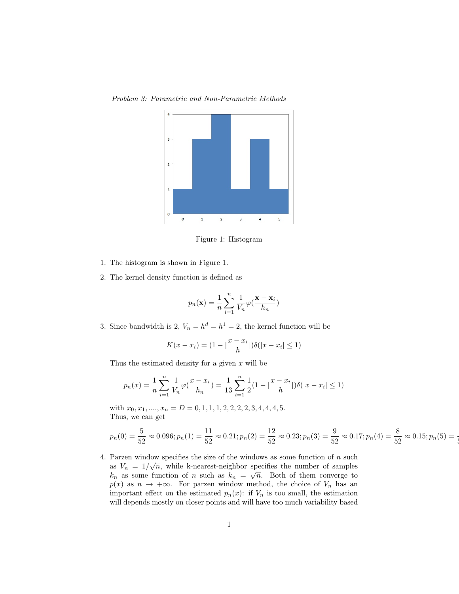

Problem 3: Parametric and Non-Parametric Methods

Figure 1: Histogram

- 1. The histogram is shown in Figure 1.
- 2. The kernel density function is defined as

$$
p_n(\mathbf{x}) = \frac{1}{n} \sum_{i=1}^n \frac{1}{V_n} \varphi(\frac{\mathbf{x} - \mathbf{x}_i}{h_n})
$$

3. Since bandwidth is 2,  $V_n = h^d = h^1 = 2$ , the kernel function will be

$$
K(x - x_i) = (1 - |\frac{x - x_i}{h}|) \delta(|x - x_i| \le 1)
$$

Thus the estimated density for a given  $x$  will be

$$
p_n(x) = \frac{1}{n} \sum_{i=1}^n \frac{1}{V_n} \varphi(\frac{x - x_i}{h_n}) = \frac{1}{13} \sum_{i=1}^n \frac{1}{2} (1 - |\frac{x - x_i}{h}|) \delta(|x - x_i| \le 1)
$$

with  $x_0, x_1, \ldots, x_n = D = 0, 1, 1, 1, 2, 2, 2, 2, 3, 4, 4, 4, 5.$ Thus, we can get

$$
p_n(0) = \frac{5}{52} \approx 0.096; p_n(1) = \frac{11}{52} \approx 0.21; p_n(2) = \frac{12}{52} \approx 0.23; p_n(3) = \frac{9}{52} \approx 0.17; p_n(4) = \frac{8}{52} \approx 0.15; p_n(5) = \frac{11}{52} \approx 0.17; p_n(6) = \frac{11}{52} \approx 0.17; p_n(7) = \frac{11}{52} \approx 0.17; p_n(8) = \frac{11}{52} \approx 0.17; p_n(9) = \frac{11}{52} \approx 0.17; p_n(1) = \frac{11}{52} \approx 0.17; p_n(1) = \frac{11}{52} \approx 0.17; p_n(2) = \frac{11}{52} \approx 0.17; p_n(3) = \frac{11}{52} \approx 0.17; p_n(4) = \frac{11}{52} \approx 0.17; p_n(5) = \frac{11}{52} \approx 0.17; p_n(6) = \frac{11}{52} \approx 0.17; p_n(7) = \frac{11}{52} \approx 0.17; p_n(8) = \frac{11}{52} \approx 0.17; p_n(9) = \frac{11}{52} \approx 0.17; p_n(1) = \frac{11}{52} \approx 0.17; p_n(1) = \frac{11}{52} \approx 0.17; p_n(2) = \frac{11}{52} \approx 0.17; p_n(3) = \frac{11}{52} \approx 0.17; p_n(4) = \frac{11}{52} \approx 0.17; p_n(5) = \frac{11}{52} \approx 0.17; p_n(6) = \frac{11}{52} \approx 0.17; p_n(7) = \frac{11}{52} \approx 0.17; p_n(8) = \frac{11}{52} \approx 0.17; p_n(9) = \frac{11}{52} \approx 0.17; p_n(1) = \frac{11}{52} \approx 0.17; p_n(1) = \frac{11}{52} \approx 0.17; p_n(2) = \frac{11}{52} \approx 0.17; p_n
$$

**إ** 

4. Parzen window specifies the size of the windows as some function of n such  $\frac{1}{2}$ as  $V_n = 1/\sqrt{n}$ , while k-nearest-neighbor specifies the number of samples as  $v_n = 1/\sqrt{n}$ , while K-hearest-heighbor specifies the humber of samples  $k_n$  as some function of n such as  $k_n = \sqrt{n}$ . Both of them converge to  $p(x)$  as  $n \to +\infty$ . For parzen window method, the choice of  $V_n$  has an important effect on the estimated  $p_n(x)$ : if  $V_n$  is too small, the estimation will depends mostly on closer points and will have too much variability based